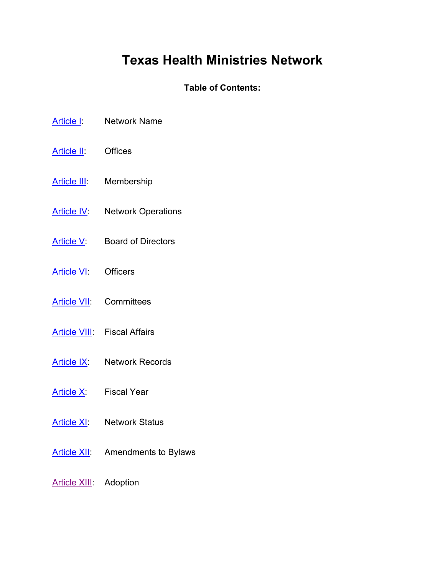# **Texas Health Ministries Network**

# **Table of Contents:**

- [Article I:](#page-1-0) Network Name
- [Article II:](#page-1-1) Offices
- [Article III:](#page-1-2) Membership
- [Article IV:](#page-1-3) Network Operations
- [Article V:](#page-3-0) Board of Directors
- [Article VI:](#page-4-0) Officers
- [Article VII:](#page-5-0) Committees
- [Article VIII:](#page-6-0) Fiscal Affairs
- [Article IX:](#page-8-0) Network Records
- [Article X:](#page-8-1) Fiscal Year
- [Article XI:](#page-8-2) Network Status
- [Article XII:](#page-9-0) Amendments to Bylaws

## [Article XIII:](#page-9-1) Adoption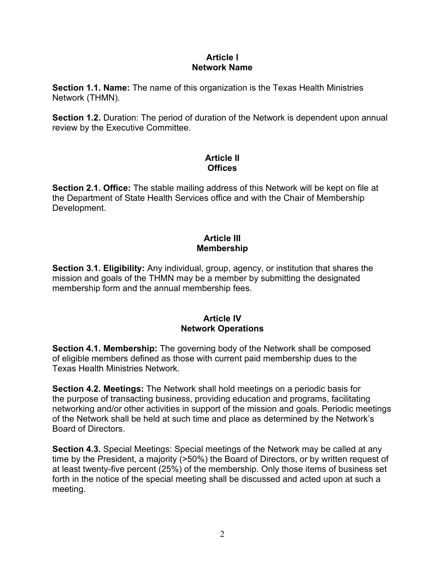#### **Article I Network Name**

<span id="page-1-0"></span>**Section 1.1. Name:** The name of this organization is the Texas Health Ministries Network (THMN).

**Section 1.2.** Duration: The period of duration of the Network is dependent upon annual review by the Executive Committee.

# **Article II Offices**

<span id="page-1-1"></span>**Section 2.1. Office:** The stable mailing address of this Network will be kept on file at the Department of State Health Services office and with the Chair of Membership Development.

# **Article III Membership**

<span id="page-1-2"></span>**Section 3.1. Eligibility:** Any individual, group, agency, or institution that shares the mission and goals of the THMN may be a member by submitting the designated membership form and the annual membership fees.

## **Article IV Network Operations**

<span id="page-1-3"></span>**Section 4.1. Membership:** The governing body of the Network shall be composed of eligible members defined as those with current paid membership dues to the Texas Health Ministries Network.

**Section 4.2. Meetings:** The Network shall hold meetings on a periodic basis for the purpose of transacting business, providing education and programs, facilitating networking and/or other activities in support of the mission and goals. Periodic meetings of the Network shall be held at such time and place as determined by the Network's Board of Directors.

**Section 4.3.** Special Meetings: Special meetings of the Network may be called at any time by the President, a majority (>50%) the Board of Directors, or by written request of at least twenty-five percent (25%) of the membership. Only those items of business set forth in the notice of the special meeting shall be discussed and acted upon at such a meeting.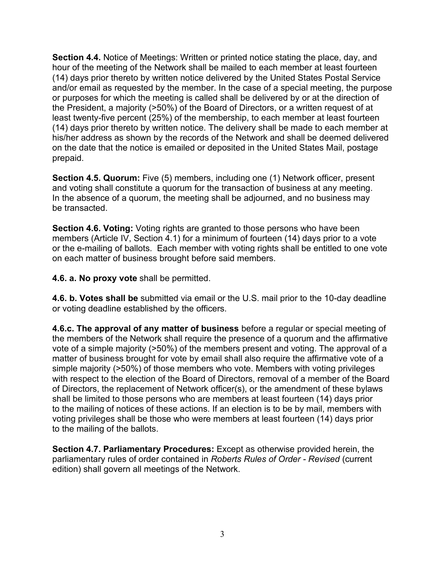**Section 4.4.** Notice of Meetings: Written or printed notice stating the place, day, and hour of the meeting of the Network shall be mailed to each member at least fourteen (14) days prior thereto by written notice delivered by the United States Postal Service and/or email as requested by the member. In the case of a special meeting, the purpose or purposes for which the meeting is called shall be delivered by or at the direction of the President, a majority (>50%) of the Board of Directors, or a written request of at least twenty-five percent (25%) of the membership, to each member at least fourteen (14) days prior thereto by written notice. The delivery shall be made to each member at his/her address as shown by the records of the Network and shall be deemed delivered on the date that the notice is emailed or deposited in the United States Mail, postage prepaid.

**Section 4.5. Quorum:** Five (5) members, including one (1) Network officer, present and voting shall constitute a quorum for the transaction of business at any meeting. In the absence of a quorum, the meeting shall be adjourned, and no business may be transacted.

**Section 4.6. Voting:** Voting rights are granted to those persons who have been members (Article IV, Section 4.1) for a minimum of fourteen (14) days prior to a vote or the e-mailing of ballots. Each member with voting rights shall be entitled to one vote on each matter of business brought before said members.

**4.6. a. No proxy vote** shall be permitted.

**4.6. b. Votes shall be** submitted via email or the U.S. mail prior to the 10-day deadline or voting deadline established by the officers.

**4.6.c. The approval of any matter of business** before a regular or special meeting of the members of the Network shall require the presence of a quorum and the affirmative vote of a simple majority (>50%) of the members present and voting. The approval of a matter of business brought for vote by email shall also require the affirmative vote of a simple majority (>50%) of those members who vote. Members with voting privileges with respect to the election of the Board of Directors, removal of a member of the Board of Directors, the replacement of Network officer(s), or the amendment of these bylaws shall be limited to those persons who are members at least fourteen (14) days prior to the mailing of notices of these actions. If an election is to be by mail, members with voting privileges shall be those who were members at least fourteen (14) days prior to the mailing of the ballots.

**Section 4.7. Parliamentary Procedures:** Except as otherwise provided herein, the parliamentary rules of order contained in *Roberts Rules of Order - Revised* (current edition) shall govern all meetings of the Network.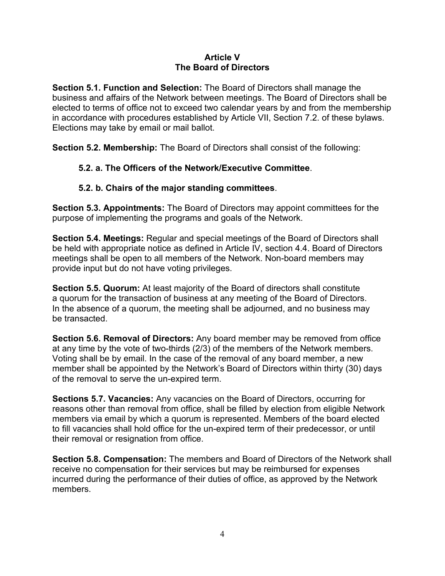## **Article V The Board of Directors**

<span id="page-3-0"></span>**Section 5.1. Function and Selection:** The Board of Directors shall manage the business and affairs of the Network between meetings. The Board of Directors shall be elected to terms of office not to exceed two calendar years by and from the membership in accordance with procedures established by Article VII, Section 7.2. of these bylaws. Elections may take by email or mail ballot.

**Section 5.2. Membership:** The Board of Directors shall consist of the following:

# **5.2. a. The Officers of the Network/Executive Committee**.

# **5.2. b. Chairs of the major standing committees**.

**Section 5.3. Appointments:** The Board of Directors may appoint committees for the purpose of implementing the programs and goals of the Network.

**Section 5.4. Meetings:** Regular and special meetings of the Board of Directors shall be held with appropriate notice as defined in Article IV, section 4.4. Board of Directors meetings shall be open to all members of the Network. Non-board members may provide input but do not have voting privileges.

**Section 5.5. Quorum:** At least majority of the Board of directors shall constitute a quorum for the transaction of business at any meeting of the Board of Directors. In the absence of a quorum, the meeting shall be adjourned, and no business may be transacted.

**Section 5.6. Removal of Directors:** Any board member may be removed from office at any time by the vote of two-thirds (2/3) of the members of the Network members. Voting shall be by email. In the case of the removal of any board member, a new member shall be appointed by the Network's Board of Directors within thirty (30) days of the removal to serve the un-expired term.

**Sections 5.7. Vacancies:** Any vacancies on the Board of Directors, occurring for reasons other than removal from office, shall be filled by election from eligible Network members via email by which a quorum is represented. Members of the board elected to fill vacancies shall hold office for the un-expired term of their predecessor, or until their removal or resignation from office.

**Section 5.8. Compensation:** The members and Board of Directors of the Network shall receive no compensation for their services but may be reimbursed for expenses incurred during the performance of their duties of office, as approved by the Network members.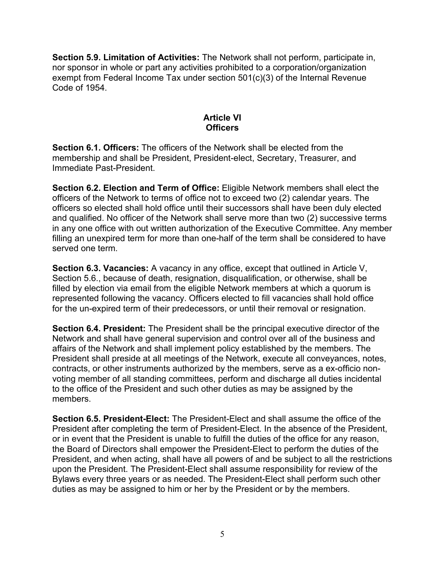**Section 5.9. Limitation of Activities:** The Network shall not perform, participate in, nor sponsor in whole or part any activities prohibited to a corporation/organization exempt from Federal Income Tax under section 501(c)(3) of the Internal Revenue Code of 1954.

# **Article VI Officers**

<span id="page-4-0"></span>**Section 6.1. Officers:** The officers of the Network shall be elected from the membership and shall be President, President-elect, Secretary, Treasurer, and Immediate Past-President.

**Section 6.2. Election and Term of Office:** Eligible Network members shall elect the officers of the Network to terms of office not to exceed two (2) calendar years. The officers so elected shall hold office until their successors shall have been duly elected and qualified. No officer of the Network shall serve more than two (2) successive terms in any one office with out written authorization of the Executive Committee. Any member filling an unexpired term for more than one-half of the term shall be considered to have served one term.

**Section 6.3. Vacancies:** A vacancy in any office, except that outlined in Article V, Section 5.6., because of death, resignation, disqualification, or otherwise, shall be filled by election via email from the eligible Network members at which a quorum is represented following the vacancy. Officers elected to fill vacancies shall hold office for the un-expired term of their predecessors, or until their removal or resignation.

**Section 6.4. President:** The President shall be the principal executive director of the Network and shall have general supervision and control over all of the business and affairs of the Network and shall implement policy established by the members. The President shall preside at all meetings of the Network, execute all conveyances, notes, contracts, or other instruments authorized by the members, serve as a ex-officio nonvoting member of all standing committees, perform and discharge all duties incidental to the office of the President and such other duties as may be assigned by the members.

**Section 6.5. President-Elect:** The President-Elect and shall assume the office of the President after completing the term of President-Elect. In the absence of the President, or in event that the President is unable to fulfill the duties of the office for any reason, the Board of Directors shall empower the President-Elect to perform the duties of the President, and when acting, shall have all powers of and be subject to all the restrictions upon the President. The President-Elect shall assume responsibility for review of the Bylaws every three years or as needed. The President-Elect shall perform such other duties as may be assigned to him or her by the President or by the members.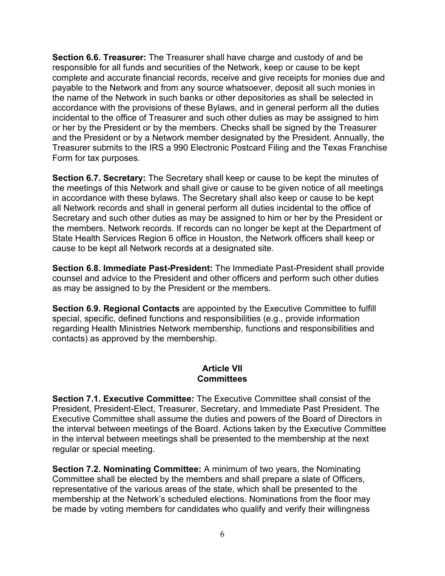**Section 6.6. Treasurer:** The Treasurer shall have charge and custody of and be responsible for all funds and securities of the Network, keep or cause to be kept complete and accurate financial records, receive and give receipts for monies due and payable to the Network and from any source whatsoever, deposit all such monies in the name of the Network in such banks or other depositories as shall be selected in accordance with the provisions of these Bylaws, and in general perform all the duties incidental to the office of Treasurer and such other duties as may be assigned to him or her by the President or by the members. Checks shall be signed by the Treasurer and the President or by a Network member designated by the President. Annually, the Treasurer submits to the IRS a 990 Electronic Postcard Filing and the Texas Franchise Form for tax purposes.

**Section 6.7. Secretary:** The Secretary shall keep or cause to be kept the minutes of the meetings of this Network and shall give or cause to be given notice of all meetings in accordance with these bylaws. The Secretary shall also keep or cause to be kept all Network records and shall in general perform all duties incidental to the office of Secretary and such other duties as may be assigned to him or her by the President or the members. Network records. If records can no longer be kept at the Department of State Health Services Region 6 office in Houston, the Network officers shall keep or cause to be kept all Network records at a designated site.

**Section 6.8. Immediate Past-President:** The Immediate Past-President shall provide counsel and advice to the President and other officers and perform such other duties as may be assigned to by the President or the members.

**Section 6.9. Regional Contacts** are appointed by the Executive Committee to fulfill special, specific, defined functions and responsibilities (e.g., provide information regarding Health Ministries Network membership, functions and responsibilities and contacts) as approved by the membership.

## **Article VII Committees**

<span id="page-5-0"></span>**Section 7.1. Executive Committee:** The Executive Committee shall consist of the President, President-Elect, Treasurer, Secretary, and Immediate Past President. The Executive Committee shall assume the duties and powers of the Board of Directors in the interval between meetings of the Board. Actions taken by the Executive Committee in the interval between meetings shall be presented to the membership at the next regular or special meeting.

**Section 7.2. Nominating Committee:** A minimum of two years, the Nominating Committee shall be elected by the members and shall prepare a slate of Officers, representative of the various areas of the state, which shall be presented to the membership at the Network's scheduled elections. Nominations from the floor may be made by voting members for candidates who qualify and verify their willingness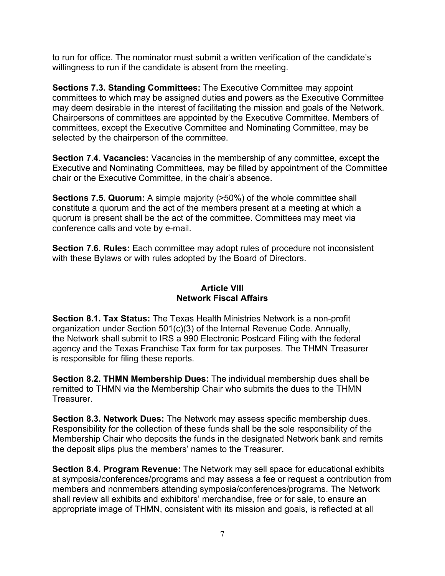to run for office. The nominator must submit a written verification of the candidate's willingness to run if the candidate is absent from the meeting.

**Sections 7.3. Standing Committees:** The Executive Committee may appoint committees to which may be assigned duties and powers as the Executive Committee may deem desirable in the interest of facilitating the mission and goals of the Network. Chairpersons of committees are appointed by the Executive Committee. Members of committees, except the Executive Committee and Nominating Committee, may be selected by the chairperson of the committee.

**Section 7.4. Vacancies:** Vacancies in the membership of any committee, except the Executive and Nominating Committees, may be filled by appointment of the Committee chair or the Executive Committee, in the chair's absence.

**Sections 7.5. Quorum:** A simple majority (>50%) of the whole committee shall constitute a quorum and the act of the members present at a meeting at which a quorum is present shall be the act of the committee. Committees may meet via conference calls and vote by e-mail.

**Section 7.6. Rules:** Each committee may adopt rules of procedure not inconsistent with these Bylaws or with rules adopted by the Board of Directors.

# **Article VIII Network Fiscal Affairs**

<span id="page-6-0"></span>**Section 8.1. Tax Status:** The Texas Health Ministries Network is a non-profit organization under Section 501(c)(3) of the Internal Revenue Code. Annually, the Network shall submit to IRS a 990 Electronic Postcard Filing with the federal agency and the Texas Franchise Tax form for tax purposes. The THMN Treasurer is responsible for filing these reports.

**Section 8.2. THMN Membership Dues:** The individual membership dues shall be remitted to THMN via the Membership Chair who submits the dues to the THMN Treasurer.

**Section 8.3. Network Dues:** The Network may assess specific membership dues. Responsibility for the collection of these funds shall be the sole responsibility of the Membership Chair who deposits the funds in the designated Network bank and remits the deposit slips plus the members' names to the Treasurer.

**Section 8.4. Program Revenue:** The Network may sell space for educational exhibits at symposia/conferences/programs and may assess a fee or request a contribution from members and nonmembers attending symposia/conferences/programs. The Network shall review all exhibits and exhibitors' merchandise, free or for sale, to ensure an appropriate image of THMN, consistent with its mission and goals, is reflected at all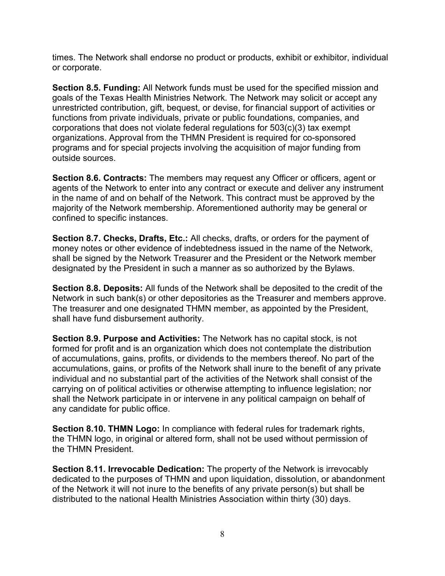times. The Network shall endorse no product or products, exhibit or exhibitor, individual or corporate.

**Section 8.5. Funding:** All Network funds must be used for the specified mission and goals of the Texas Health Ministries Network. The Network may solicit or accept any unrestricted contribution, gift, bequest, or devise, for financial support of activities or functions from private individuals, private or public foundations, companies, and corporations that does not violate federal regulations for 503(c)(3) tax exempt organizations. Approval from the THMN President is required for co-sponsored programs and for special projects involving the acquisition of major funding from outside sources.

**Section 8.6. Contracts:** The members may request any Officer or officers, agent or agents of the Network to enter into any contract or execute and deliver any instrument in the name of and on behalf of the Network. This contract must be approved by the majority of the Network membership. Aforementioned authority may be general or confined to specific instances.

**Section 8.7. Checks, Drafts, Etc.:** All checks, drafts, or orders for the payment of money notes or other evidence of indebtedness issued in the name of the Network, shall be signed by the Network Treasurer and the President or the Network member designated by the President in such a manner as so authorized by the Bylaws.

**Section 8.8. Deposits:** All funds of the Network shall be deposited to the credit of the Network in such bank(s) or other depositories as the Treasurer and members approve. The treasurer and one designated THMN member, as appointed by the President, shall have fund disbursement authority.

**Section 8.9. Purpose and Activities:** The Network has no capital stock, is not formed for profit and is an organization which does not contemplate the distribution of accumulations, gains, profits, or dividends to the members thereof. No part of the accumulations, gains, or profits of the Network shall inure to the benefit of any private individual and no substantial part of the activities of the Network shall consist of the carrying on of political activities or otherwise attempting to influence legislation; nor shall the Network participate in or intervene in any political campaign on behalf of any candidate for public office.

**Section 8.10. THMN Logo:** In compliance with federal rules for trademark rights, the THMN logo, in original or altered form, shall not be used without permission of the THMN President.

**Section 8.11. Irrevocable Dedication:** The property of the Network is irrevocably dedicated to the purposes of THMN and upon liquidation, dissolution, or abandonment of the Network it will not inure to the benefits of any private person(s) but shall be distributed to the national Health Ministries Association within thirty (30) days.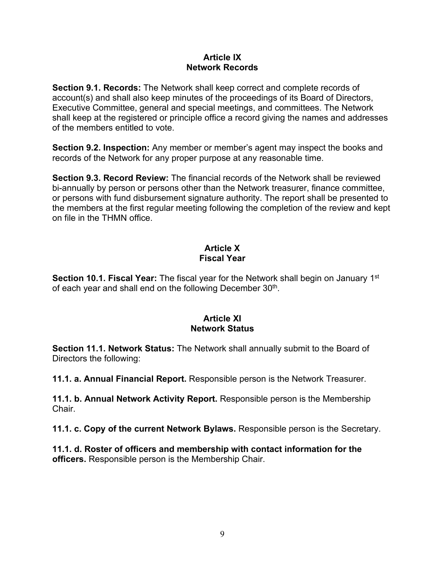#### **Article IX Network Records**

<span id="page-8-0"></span>**Section 9.1. Records:** The Network shall keep correct and complete records of account(s) and shall also keep minutes of the proceedings of its Board of Directors, Executive Committee, general and special meetings, and committees. The Network shall keep at the registered or principle office a record giving the names and addresses of the members entitled to vote.

**Section 9.2. Inspection:** Any member or member's agent may inspect the books and records of the Network for any proper purpose at any reasonable time.

**Section 9.3. Record Review:** The financial records of the Network shall be reviewed bi-annually by person or persons other than the Network treasurer, finance committee, or persons with fund disbursement signature authority. The report shall be presented to the members at the first regular meeting following the completion of the review and kept on file in the THMN office.

## **Article X Fiscal Year**

<span id="page-8-1"></span>**Section 10.1. Fiscal Year:** The fiscal year for the Network shall begin on January 1<sup>st</sup> of each year and shall end on the following December 30<sup>th</sup>.

## **Article XI Network Status**

<span id="page-8-2"></span>**Section 11.1. Network Status:** The Network shall annually submit to the Board of Directors the following:

**11.1. a. Annual Financial Report.** Responsible person is the Network Treasurer.

**11.1. b. Annual Network Activity Report.** Responsible person is the Membership Chair.

**11.1. c. Copy of the current Network Bylaws.** Responsible person is the Secretary.

**11.1. d. Roster of officers and membership with contact information for the officers.** Responsible person is the Membership Chair.